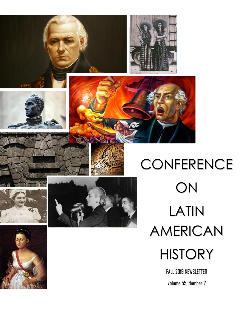





FALL 2019 NEWSLETTER Volume 55, Number 2

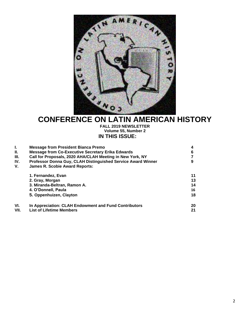

# **CONFERENCE ON LATIN AMERICAN HISTORY**

**FALL 2019 NEWSLETTER Volume 55, Number 2 IN THIS ISSUE:**

| <b>Message from President Bianca Premo</b>                   | 4  |
|--------------------------------------------------------------|----|
| <b>Message from Co-Executive Secretary Erika Edwards</b>     | 6  |
| Call for Proposals, 2020 AHA/CLAH Meeting in New York, NY    |    |
| Professor Donna Guy, CLAH Distinguished Service Award Winner | 9  |
| <b>James R. Scobie Award Reports:</b>                        |    |
| 1. Fernandez, Evan                                           | 11 |
| 2. Gray, Morgan                                              | 13 |
| 3. Miranda-Beltran, Ramon A.                                 | 14 |
| 4. O'Donnell, Paula                                          | 16 |
| 5. Oppenhuizen, Clayton                                      | 18 |
| In Appreciation: CLAH Endowment and Fund Contributors        | 20 |
| <b>List of Lifetime Members</b>                              | 21 |
|                                                              |    |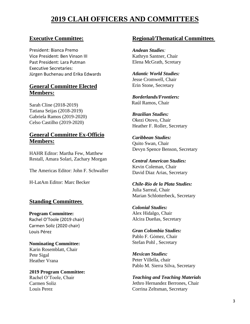# **2019 CLAH OFFICERS AND COMMITTEES**

# **Executive Committee:**

President: Bianca Premo Vice President: Ben Vinson III Past President: Lara Putman Executive Secretaries: Jürgen Buchenau and Erika Edwards

# **General Committee Elected Members:**

Sarah Cline (2018-2019) Tatiana Seijas (2018-2019) Gabriela Ramos (2019-2020) Celso Castilho (2019-2020)

# **General Committee Ex-Officio Members:**

HAHR Editor: Martha Few, Matthew Restall, Amara Solari, Zachary Morgan

The Americas Editor: John F. Schwaller

H-LatAm Editor: Marc Becker

# **Standing Committees**

**Program Committee:** Rachel O'Toole (2019 chair) Carmen Soliz (2020 chair) Louis Pérez

**Nominating Committee:** Karin Rosemblatt, Chair Pete Sigal Heather Vrana

**2019 Program Committee:**  Rachel O'Toole, Chair Carmen Soliz Louis Perez

# **Regional/Thematical Committees**

*Andean Studies:* Kathryn Santner, Chair Elena McGrath, Scretary

*Atlantic World Studies:* Jesse Cromwell, Chair Erin Stone, Secretary

*Borderlands/Frontiers:* Raúl Ramos, Chair

*Brazilian Studies:* Okezi Otovo, Chair Heather F. Roller, Secretary

*Caribbean Studies:* Quito Swan, Chair Devyn Spence Benson, Secretary

*Central American Studies:* Kevin Coleman, Chair David Diaz Arias, Secretary

*Chile-Rio de la Plata Studies:* Julia Sarreal, Chair Marian Schlotterbeck, Secretary

*Colonial Studies:* Alex Hidalgo, Chair Alcira Dueñas, Secretary

*Gran Colombia Studies:* Pablo F. Gómez, Chair Stefan Pohl , Secretary

*Mexican Studies:* Peter Villella, chair Pablo M. Sierra Silva, Secretary

*Teaching and Teaching Materials* Jethro Hernandez Berrones, Chair Corrina Zeltsman, Secretary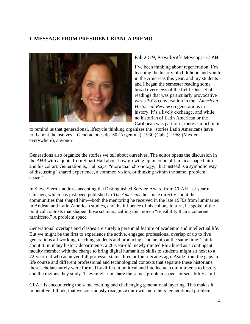# **I. MESSAGE FROM PRESIDENT BIANCA PREMO**



#### Fall 2019, President's Message- CLAH

I've been thinking about regeneration. I'm teaching the history of childhood and youth in the Americas this year, and my students and I began the semester reading some broad overviews of the field. One set of readings that was particularly provocative was a 2018 conversation in the *American Historical Review* on generations in history. It's a lively exchange, and while no historian of Latin American or the Caribbean was part of it, there is much in it

to remind us that generational, lifecycle thinking organizes the stories Latin Americans have told about themselves—Generaciones de '80 (Argentina), 1930 (Cuba), 1968 (Mexico, everywhere), anyone?

Generations also organize the stories we tell about ourselves. The editor opens the discussion in the *AHR* with a quote from Stuart Hall about how growing up in colonial Jamaica shaped him and his cohort. Generation is, Hall says, "more than chronology," but instead is a symbolic way of discussing "shared experience, a common vision, or thinking within the same 'problem space."

In Steve Stern's address accepting the Distinguished Service Award from CLAH last year in Chicago, which has just been published in *The Americas*, he spoke directly about the communities that shaped him—both the mentoring he received in the late 1970s from luminaries in Andean and Latin American studies, and the influence of his cohort. In turn, he spoke of the political contexts that shaped those scholars, calling this more a "sensibility than a coherent manifesto." A problem space.

Generational overlaps and clashes are surely a perennial feature of academic and intellectual life. But we might be the first to experience the active, engaged professional overlap of up to five generations all working, teaching students and producing scholarship at the same time. Think about it: in many history departments, a 26-year-old, newly minted PhD hired as a contingent faculty member with the charge to bring digital humanities skills to students might sit next to a 72-year-old who achieved full professor status three or four decades ago. Aside from the gaps in life course and different professional and technological contexts that separate these historians, these scholars surely were formed by different political and intellectual commitments to history and the regions they study. They might not share the same "problem space" or sensibility at all.

CLAH is encountering the same exciting and challenging generational layering. This makes it imperative, I think, that we consciously recognize our own and others' generational problem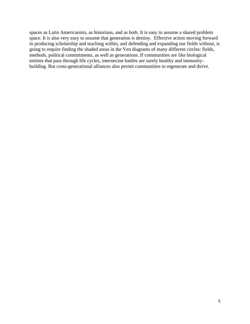spaces as Latin Americanists, as historians, and as both. It is easy to assume a shared problem space. It is also very easy to assume that generation is destiny. Effective action moving forward in producing scholarship and teaching within, and defending and expanding our fields without, is going to require finding the shaded areas in the Ven diagrams of many different circles: fields, methods, political commitments, as well as generations. If communities are like biological entities that pass through life cycles, internecine battles are surely healthy and immunitybuilding. But cross-generational alliances also permit communities to regenerate and thrive.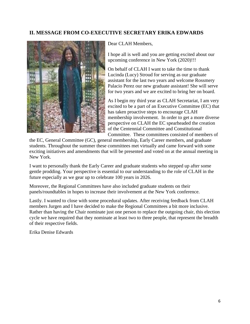# **II. MESSAGE FROM CO-EXECUTIVE SECRETARY ERIKA EDWARDS**



Dear CLAH Members,

I hope all is well and you are getting excited about our upcoming conference in New York (2020)!!!

On behalf of CLAH I want to take the time to thank Lucinda (Lucy) Stroud for serving as our graduate assistant for the last two years and welcome Rossmery Palacio Perez our new graduate assistant! She will serve for two years and we are excited to bring her on board.

As I begin my third year as CLAH Secretariat, I am very excited to be a part of an Executive Committee (EC) that has taken proactive steps to encourage CLAH membership involvement. In order to get a more diverse perspective on CLAH the EC spearheaded the creation of the Centennial Committee and Constitutional Committee. These committees consisted of members of

the EC, General Committee (GC), general membership, Early Career members, and graduate students. Throughout the summer these committees met virtually and came forward with some exciting initiatives and amendments that will be presented and voted on at the annual meeting in New York.

I want to personally thank the Early Career and graduate students who stepped up after some gentle prodding. Your perspective is essential to our understanding to the role of CLAH in the future especially as we gear up to celebrate 100 years in 2026.

Moreover, the Regional Committees have also included graduate students on their panels/roundtables in hopes to increase their involvement at the New York conference.

Lastly. I wanted to close with some procedural updates. After receiving feedback from CLAH members Jurgen and I have decided to make the Regional Committees a bit more inclusive. Rather than having the Chair nominate just one person to replace the outgoing chair, this election cycle we have required that they nominate at least two to three people, that represent the breadth of their respective fields.

Erika Denise Edwards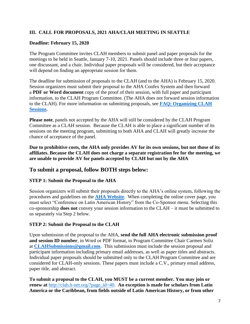### **III. CALL FOR PROPOSALS, 2021 AHA/CLAH MEETING IN SEATTLE**

#### **Deadline: February 15, 2020**

The Program Committee invites CLAH members to submit panel and paper proposals for the meetings to be held in Seattle, January 7-10, 2021. Panels should include three or four papers, one discussant, and a chair. Individual paper proposals will be considered, but their acceptance will depend on finding an appropriate session for them.

The deadline for submission of proposals to the CLAH (and to the AHA) is February 15, 2020. Session organizers must submit their proposal to the AHA Confex System and then forward a **PDF or Word document** copy of the proof of their session, with full paper and participant information, to the CLAH Program Committee. (The AHA does not forward session information to the CLAH). For more information on submitting proposals, see **[FAQ: Organizing CLAH](http://clah.h-net.org/?page_id=903)  [Sessions](http://clah.h-net.org/?page_id=903)**.

**Please note**, panels not accepted by the AHA will still be considered by the CLAH Program Committee as a CLAH session. Because the CLAH is able to place a significant number of its sessions on the meeting program, submitting to both AHA and CLAH will greatly increase the chance of acceptance of the panel.

**Due to prohibitive costs, the AHA only provides AV for its own sessions, but not those of its affiliates. Because the CLAH does not charge a separate registration fee for the meeting, we are unable to provide AV for panels accepted by CLAH but not by the AHA**

# **To submit a proposal, follow BOTH steps below:**

#### **STEP 1: Submit the Proposal to the AHA**

Session organizers will submit their proposals directly to the AHA's online system, following the procedures and guidelines on the **[AHA Website](http://www.historians.org/annual/proposals.htm)**. When completing the online cover page, you must select "Conference on Latin American History" from the Co-Sponsor menu. Selecting this co-sponsorship **does not** convey your session information to the CLAH – it must be submitted to us separately via Step 2 below.

#### **STEP 2: Submit the Proposal to the CLAH**

Upon submission of the proposal to the AHA, **send the full AHA electronic submission proof and session ID number**, in Word or PDF format, to Program Committee Chair Carmen Soliz at **[CLAHSubmissions@gmail.com](mailto:CLAHSubmissions@gmail.com)**. This submission must include the session proposal and participant information including primary email addresses, as well as paper titles and abstracts. Individual paper proposals should be submitted only to the CLAH Program Committee and are considered for CLAH-only sessions. These papers must include a C.V., primary email address, paper title, and abstract.

**To submit a proposal to the CLAH, you MUST be a current member. You may join or renew at** [http://clah.h-net.org/?page\\_id=40.](http://clah.h-net.org/?page_id=40) **An exception is made for scholars from Latin America or the Caribbean, from fields outside of Latin American History, or from other**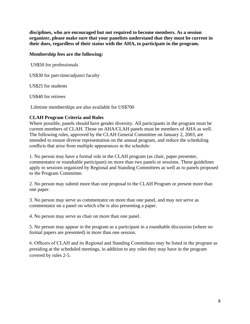**disciplines, who are encouraged but not required to become members. As a session organizer, please make sure that your panelists understand that they must be current in their dues, regardless of their status with the AHA, to participate in the program.** 

#### **Membership fees are the following:**

US\$50 for professionals

US\$30 for part-time/adjunct faculty

US\$25 for students

US\$40 for retirees

Lifetime memberships are also available for US\$700

#### **CLAH Program Criteria and Rules**

Where possible, panels should have gender diversity. All participants in the program must be current members of CLAH. Those on AHA/CLAH panels must be members of AHA as well. The following rules, approved by the CLAH General Committee on January 2, 2003, are intended to ensure diverse representation on the annual program, and reduce the scheduling conflicts that arise from multiple appearances in the schedule:

1. No person may have a formal role in the CLAH program (as chair, paper presenter, commentator or roundtable participant) on more than two panels or sessions. These guidelines apply to sessions organized by Regional and Standing Committees as well as to panels proposed to the Program Committee.

2. No person may submit more than one proposal to the CLAH Program or present more than one paper.

3. No person may serve as commentator on more than one panel, and may not serve as commentator on a panel on which s/he is also presenting a paper.

4. No person may serve as chair on more than one panel.

5. No person may appear in the program as a participant in a roundtable discussion (where no formal papers are presented) in more than one session.

6. Officers of CLAH and its Regional and Standing Committees may be listed in the program as presiding at the scheduled meetings, in addition to any roles they may have in the program covered by rules 2-5.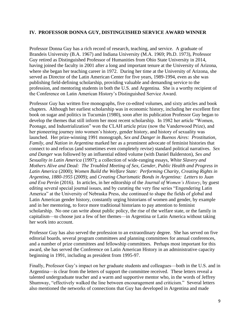#### **IV. PROFESSOR DONNA GUY, DISTINGUISHED SERVICE AWARD WINNER**

Professor Donna Guy has a rich record of research, teaching, and service. A graduate of Brandeis University (B.A. 1967) and Indiana University (M.A. 1969; Ph.D. 1973), Professor Guy retired as Distinguished Professor of Humanities from Ohio State University in 2014, having joined the faculty in 2001 after a long and important tenure at the University of Arizona, where she began her teaching career in 1972. During her time at the University of Arizona, she served as Director of the Latin American Center for five years, 1989-1994, even as she was publishing field-defining scholarship, providing valuable and demanding service to the profession, and mentoring students in both the U.S. and Argentina. She is a worthy recipient of the Conference on Latin American History's Distinguished Service Award.

Professor Guy has written five monographs, five co-edited volumes, and sixty articles and book chapters. Although her earliest scholarship was in economic history, including her excellent first book on sugar and politics in Tucumán (1980), soon after its publication Professor Guy began to develop the themes that still inform her most recent scholarship. In 1982 her article "Women, Peonage, and Industrialization" won the CLAH article prize (now the Vanderwood Prize), and her pioneering journey into women's history, gender history, and history of sexuality was launched. Her prize-winning 1991 monograph, *Sex and Danger in Buenos Aires: Prostitution, Family, and Nation in Argentina* marked her as a prominent advocate of feminist histories that connect to and refocus (and sometimes even completely revise) standard political narratives. *Sex and Danger* was followed by an influential edited volume (with Daniel Balderston), *Sex and Sexuality in Latin America* (1997); a collection of wide-ranging essays, *White Slavery and Mothers Alive and Dead: The Troubled Meeting of Sex, Gender, Public Health and Progress in Latin America* (2000); *Women Build the Welfare State: Performing Charity, Creating Rights in Argentina, 1880-1955* (2009); and *Creating Charismatic Bonds in Argentina: Letters to Juan and Eva Perón* (2016). In articles, in her editorship of the *Journal of Women's History*, by guest editing several special journal issues, and by curating the very fine series "Engendering Latin America" at the University of Nebraska Press, she continued to shape the fields of global and Latin American gender history, constantly urging historians of women and gender, by example and in her mentoring, to force more traditional historians to pay attention to feminist scholarship. No one can write about public policy, the rise of the welfare state, or the family in capitalism—to choose just a few of her themes—in Argentina or Latin America without taking her work into account.

Professor Guy has also served the profession to an extraordinary degree. She has served on five editorial boards, several program committees and planning committees for annual conferences, and a number of prize committees and fellowship committees. Perhaps most important for this award, she has served the Conference on Latin American History in an administrative capacity beginning in 1991, including as president from 1995-97.

Finally, Professor Guy's impact on her graduate students and colleagues—both in the U.S. and in Argentina—is clear from the letters of support the committee received. These letters reveal a talented undergraduate teacher and a warm and supportive mentor who, in the words of Jeffrey Shumway, "effectively walked the line between encouragement and criticism." Several letters also mentioned the networks of connections that Guy has developed in Argentina and made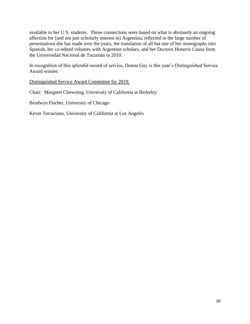available to her U.S. students. Those connections were based on what is obviously an ongoing affection for (and not just scholarly interest in) Argentina, reflected in the large number of presentations she has made over the years, the translation of all but one of her monographs into Spanish, her co-edited volumes with Argentine scholars, and her *Doctora Honoris Causa* from the Universidad Nacional de Tucumán in 2010.

In recognition of this splendid record of service, Donna Guy is this year's Distinguished Service Award winner.

Distinguished Service Award Committee for 2019:

Chair: Margaret Chowning, University of California at Berkeley

Brodwyn Fischer, University of Chicago

Kevin Terraciano, University of California at Los Angeles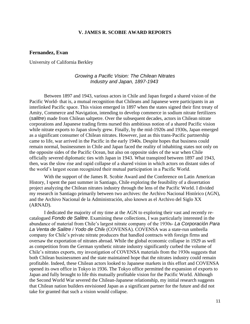#### **V. JAMES R. SCOBIE AWARD REPORTS**

#### **Fernandez, Evan**

University of California Berkley

#### *Growing a Pacific Vision: The Chilean Nitrates Industry and Japan, 1897-1943*

Between 1897 and 1943, various actors in Chile and Japan forged a shared vision of the Pacific World- that is, a mutual recognition that Chileans and Japanese were participants in an interlinked Pacific space. This vision emerged in 1897 when the states signed their first treaty of Amity, Commerce and Navigation, intending to develop commerce in sodium nitrate fertilizers (*salitre*) made from Chilean saltpetre. Over the subsequent decades, actors in Chilean nitrate corporations and Japanese trading firms nursed this ambitious notion of a shared Pacific vision while nitrate exports to Japan slowly grew. Finally, by the mid-1920s and 1930s, Japan emerged as a significant consumer of Chilean nitrates. However, just as this trans-Pacific partnership came to life, war arrived in the Pacific in the early 1940s. Despite hopes that business could remain normal, businessmen in Chile and Japan faced the reality of inhabiting states not only on the opposite sides of the Pacific Ocean, but also on opposite sides of the war when Chile officially severed diplomatic ties with Japan in 1943. What transpired between 1897 and 1943, then, was the slow rise and rapid collapse of a shared vision in which actors on distant sides of the world's largest ocean recognized their mutual participation in a Pacific World.

With the support of the James R. Scobie Award and the Conference on Latin American History, I spent the past summer in Santiago, Chile exploring the feasibility of a dissertation project analyzing the Chilean nitrates industry through the lens of the Pacific World. I divided my research in Santiago primarily between two archives: the Archivo Nacional Histórico (AGN), and the Archivo Nacional de la Administración, also known as el Archivo del Siglo XX (ARNAD).

I dedicated the majority of my time at the AGN to exploring their vast and recently recatalogued *Fondo de Salitre*. Examining these collections, I was particularly interested in the abundance of material from Chile's largest nitrate company of the 1930s- *La Corporación Para La Venta de Salitre i Yodo de Chil*e (COVENSA). COVENSA was a state-run umbrella company for Chile's private nitrate producers that handled contracts with foreign firms and oversaw the exportation of nitrates abroad. While the global economic collapse in 1929 as well as competition from the German synthetic nitrate industry significantly curbed the volume of Chile's nitrates exports, my investigation of COVENSA materials from the 1930s suggests that both Chilean businessmen and the state maintained hope that the nitrates industry could remain profitable. Indeed, these Chilean actors looked to Japanese markets in this effort and COVENSA opened its own office in Tokyo in 1936. The Tokyo office permitted the expansion of exports to Japan and fully brought to life this mutually profitable vision for the Pacific World. Although the Second World War severed the Chilean-Japanese relationship, my initial research suggests that Chilean nation builders envisioned Japan as a significant partner for the future and did not take for granted that such a vision would collapse.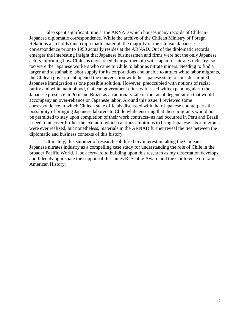I also spent significant time at the ARNAD which houses many records of Chilean-Japanese diplomatic correspondence. While the archive of the Chilean Ministry of Foregn Relations also holds much diplomatic material, the majority of the Chilean-Japanese correspondence prior to 1950 actually resides at the ARNAD. Out of the diplomatic records emerges the interesting insight that Japanese businessmen and firms were not the only Japanese actors informing how Chileans envisioned their partnership with Japan for nitrates industry- so too were the Japanese workers who came to Chile to labor as nitrate miners. Needing to find a larger and sustainable labor supply for its corporations and unable to attract white labor migrants, the Chilean government opened the conversation with the Japanese state to consider limited Japanese immigration as one possible solution. However, preoccupied with notions of racial purity and white nationhood, Chilean government elites witnessed with expanding alarm the Japanese presence in Peru and Brazil as a cautionary tale of the racial degeneration that would accompany an over-reliance on Japanese labor. Around this issue, I reviewed some correspondence in which Chilean state officials discussed with their Japanese counterparts the possibility of bringing Japanese laborers to Chile while ensuring that these migrants would not be permitted to stay upon completion of their work contracts- as had occurred in Peru and Brazil. I need to uncover further the extent to which cautious ambitions to bring Japanese labor migrants were ever realized, but nonetheless, materials in the ARNAD further reveal the ties between the diplomatic and business contexts of this history.

Ultimately, this summer of research solidified my interest in taking the Chilean-Japanese nitrates industry as a compelling case study for understanding the role of Chile in the broader Pacific World. I look forward to building upon this research as my dissertation develops and I deeply appreciate the support of the James R. Scobie Award and the Conference on Latin American History.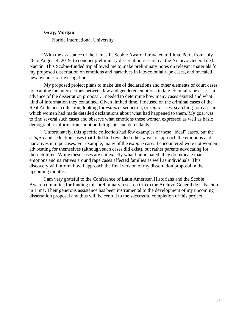#### **Gray, Morgan**

Florida International University

With the assistance of the James R. Scobie Award, I traveled to Lima, Peru, from July 26 to August 4, 2019, to conduct preliminary dissertation research at the Archivo General de la Nación. This Scobie-funded trip allowed me to make preliminary notes on relevant materials for my proposed dissertation on emotions and narratives in late-colonial rape cases, and revealed new avenues of investigation.

My proposed project plans to make use of declarations and other elements of court cases to examine the intersections between law and gendered emotions in late-colonial rape cases. In advance of the dissertation proposal, I needed to determine how many cases existed and what kind of information they contained. Given limited time, I focused on the criminal cases of the Real Audiencia collection, looking for *estupro*, seduction, or *rapto* cases, searching for cases in which women had made detailed declarations about what had happened to them. My goal was to find several such cases and observe what emotions these women expressed as well as basic demographic information about both litigants and defendants.

Unfortunately, this specific collection had few examples of these "ideal" cases, but the *estupro* and seduction cases that I did find revealed other ways to approach the emotions and narratives in rape cases. For example, many of the *estupro* cases I encountered were not women advocating for themselves (although such cases did exist), but rather parents advocating for their children. While these cases are not exactly what I anticipated, they do indicate that emotions and narratives around rape cases affected families as well as individuals. This discovery will inform how I approach the final version of my dissertation proposal in the upcoming months.

I am very grateful to the Conference of Latin American Historians and the Scobie Award committee for funding this preliminary research trip to the Archivo General de la Nación in Lima. Their generous assistance has been instrumental to the development of my upcoming dissertation proposal and thus will be central to the successful completion of this project.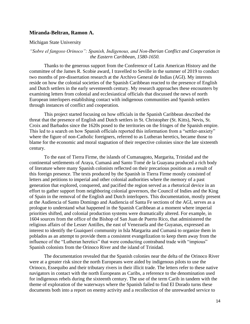#### **Miranda-Beltran, Ramon A.**

Michigan State University

#### *"Sobre el fangoso Orinoco": Spanish, Indigenous, and Non-Iberian Conflict and Cooperation in the Eastern Caribbean, 1580-1650.*

Thanks to the generous support from the Conference of Latin American History and the committee of the James R. Scobie award, I travelled to Seville in the summer of 2019 to conduct two months of pre-dissertation research at the Archivo General de Indias (AGI). My interests reside on how the colonial societies of the Spanish Caribbean reacted to the presence of English and Dutch settlers in the early seventeenth century. My research approaches these encounters by examining letters from colonial and ecclesiastical officials that discussed the news of north European interlopers establishing contact with indigenous communities and Spanish settlers through instances of conflict and cooperation.

This project started focusing on how officials in the Spanish Caribbean described the threat that the presence of English and Dutch settlers in St. Christopher (St. Kitts), Nevis, St. Croix and Barbados since the 1620s posed to the territories on the fringes of the Spanish empire. This led to a search on how Spanish officials reported this information from a "settler-anxiety" where the figure of non-Catholic foreigners, referred to as Lutheran heretics, became those to blame for the economic and moral stagnation of their respective colonies since the late sixteenth century.

To the east of Tierra Firme, the islands of Cumanagoto, Margarita, Trinidad and the continental settlements of Araya, Cumaná and Santo Tomé de la Guayana produced a rich body of literature where many Spanish colonists reflected on their precarious position as a result of this foreign presence. The texts produced by the Spanish in Tierra Firme mostly consisted of letters and petitions to imperial and other colonial authorities where the memory of a past generation that explored, conquered, and pacified the region served as a rhetorical device in an effort to gather support from neighboring colonial governors, the Council of Indies and the King of Spain in the removal of the English and Dutch interlopers. This documentation, mostly present at the Audiencia of Santo Domingo and Audiencia of Santa Fe sections of the AGI, serves as a prologue to understand what happened in the Spanish Caribbean at a moment where imperial priorities shifted, and colonial production systems were dramatically altered. For example, in 1604 sources from the office of the Bishop of San Juan de Puerto Rico, that administered the religious affairs of the Lesser Antilles, the east of Venezuela and the Guyanas, expressed an interest to identify the Guaiquerí community in Isla Margarita and Cumaná to organize them in poblados as an attempt to provide them a consistent evangelization to keep them away from the influence of the "Lutheran heretics" that were conducting contraband trade with "impious" Spanish colonists from the Orinoco River and the island of Trinidad.

The documentation revealed that the Spanish colonies near the delta of the Orinoco River were at a greater risk since the north Europeans were aided by indigenous pilots to use the Orinoco, Essequibo and their tributary rivers in their illicit trade. The letters refer to these native navigators in contact with the north Europeans as Caribs, a reference to the denomination used for indigenous rebels during the sixteenth century. The use of the term Carib in tandem with the theme of exploration of the waterways where the Spanish failed to find El Dorado turns these documents both into a report on enemy activity and a recollection of the unrewarded service to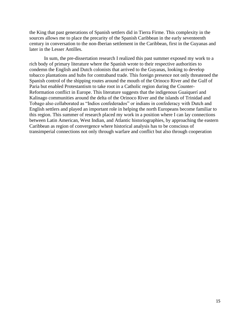the King that past generations of Spanish settlers did in Tierra Firme. This complexity in the sources allows me to place the precarity of the Spanish Caribbean in the early seventeenth century in conversation to the non-Iberian settlement in the Caribbean, first in the Guyanas and later in the Lesser Antilles.

In sum, the pre-dissertation research I realized this past summer exposed my work to a rich body of primary literature where the Spanish wrote to their respective authorities to condemn the English and Dutch colonists that arrived to the Guyanas, looking to develop tobacco plantations and hubs for contraband trade. This foreign presence not only threatened the Spanish control of the shipping routes around the mouth of the Orinoco River and the Gulf of Paria but enabled Protestantism to take root in a Catholic region during the Counter-Reformation conflict in Europe. This literature suggests that the indigenous Guaiquerí and Kalinago communities around the delta of the Orinoco River and the islands of Trinidad and Tobago also collaborated as "Indios confederados" or indians in confederacy with Dutch and English settlers and played an important role in helping the north Europeans become familiar to this region. This summer of research placed my work in a position where I can lay connections between Latin American, West Indian, and Atlantic historiographies, by approaching the eastern Caribbean as region of convergence where historical analysis has to be conscious of transimperial connections not only through warfare and conflict but also through cooperation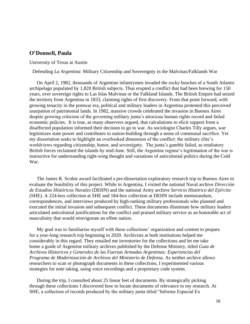#### **O'Donnell, Paula**

#### University of Texas at Austin

Defending *La Argentina*: Military Citizenship and Sovereignty in the Malvinas/Falklands War

On April 2, 1982, thousands of Argentine infantrymen invaded the rocky beaches of a South Atlantic archipelago populated by 1,820 British subjects. Thus erupted a conflict that had been brewing for 150 years, over sovereign rights to Las Islas Malvinas or the Falkland Islands. The British Empire had seized the territory from Argentina in 1833, claiming rights of first discovery. From that point forward, with growing tenacity in the postwar era, political and military leaders in Argentina protested this perceived usurpation of patrimonial lands. In 1982, massive crowds celebrated the invasion in Buenos Aires despite growing criticism of the governing military junta's atrocious human rights record and failed economic policies. It is true, as many observers argued, that calculations to elicit support from a disaffected population informed their decision to go to war. As sociologist Charles Tilly argues, war legitimizes state power and contributes to nation-building through a sense of communal sacrifice. Yet my dissertation seeks to highlight an overlooked dimension of the conflict: the military elite's worldviews regarding citizenship, honor, and sovereignty. The junta's gamble failed, as retaliatory British forces reclaimed the islands by mid-June. Still, the Argentine regime's legitimation of the war is instructive for understanding right-wing thought and variations of anticolonial politics during the Cold War.

The James R. Scobie award facilitated a pre-dissertation exploratory research trip to Buenos Aires to evaluate the feasibility of this project. While in Argentina, I visited the national Naval archive *Dirección de Estudios Históricos Navales* (DEHN) and the national Army archive *Servicio Histórico del Ejército*  (SHE). A 224-box collection at SHE and 184-box collection at DEHN include memorandum, correspondences, and interviews produced by high-ranking military professionals who planned and executed the initial invasion and subsequent conflict. These documents illuminate how military leaders articulated anticolonial justifications for the conflict and praised military service as an honorable act of masculinity that would reinvigorate an effete nation.

My goal was to familiarize myself with these collections' organization and content to prepare for a year-long research trip beginning in 2020. Archivists at both institutions helped me considerably in this regard. They emailed me inventories for the collections and let me take home a guide of Argentine military archives published by the Defense Ministry, titled *Guia de Archivos Historicos y Generales de las Fuerzas Armadas Argentinas: Experiencias del Programa de Modernización de Archivos del Ministerio de Defensa*. As neither archive allows researchers to scan or photograph documents in these collections, I experimented various strategies for note taking, using voice recordings and a proprietary code system.

During the trip, I consulted about 25 linear feet of documents. By strategically picking through these collections I discovered how to locate documents of relevance to my research. At SHE, a collection of records produced by the military junta titled "Informe Especial Ex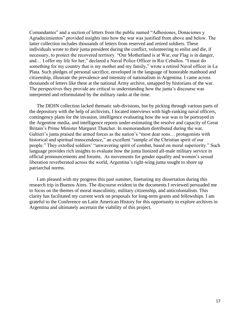Comandantes" and a section of letters from the public named "Adhesiones, Donaciones y Agradecimientos" provided insights into how the war was justified from above and below. The latter collection includes thousands of letters from reserved and retired soldiers. These individuals wrote to their junta president during the conflict, volunteering to enlist and die, if necessary, to protect the recovered territory. "Our Motherland is at War, our Flag is in danger, and… I offer my life for her," declared a Naval Police Officer in Rio Ceballos. "I must do something for my country that is my mother and my family," wrote a retired Naval officer in La Plata. Such pledges of personal sacrifice, enveloped in the language of honorable manhood and citizenship, illustrate the prevalence and intensity of nationalism in Argentina. I came across thousands of letters like these at the national Army archive, untapped by historians of the war. The perspectives they provide are critical to understanding how the junta's discourse was interpreted and reformulated by the military ranks at the time.

The DEHN collection lacked thematic sub-divisions, but by picking through various parts of the depository with the help of archivists, I located interviews with high-ranking naval officers, contingency plans for the invasion, intelligence evaluating how the war was to be portrayed in the Argentine media, and intelligence reports under-estimating the resolve and capacity of Great Britain's Prime Minister Margaret Thatcher. In memorandum distributed during the war, Galtieri's junta praised the armed forces as the nation's "most dear sons… protagonists with historical and spiritual transcendence," an excellent "sample of the Christian spirit of our people." They extolled soldiers' "unwavering spirit of combat, based on moral superiority." Such language provides rich insights to evaluate how the junta lionized all-male military service in official pronouncements and forums. As movements for gender equality and women's sexual liberation reverberated across the world, Argentina's right-wing junta sought to shore up patriarchal norms.

I am pleased with my progress this past summer, finetuning my dissertation during this research trip in Buenos Aires. The discourse evident in the documents I reviewed persuaded me to focus on the themes of moral masculinity, military citizenship, and anticolonialism. This clarity has facilitated my current work on proposals for long-term grants and fellowships. I am grateful to the Conference on Latin American History for this opportunity to explore archives in Argentina and ultimately ascertain the viability of this project.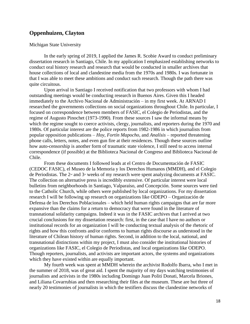#### **Oppenhuizen, Clayton**

#### Michigan State University

In the early spring of 2019, I applied the James R. Scobie Award to conduct preliminary dissertation research in Santiago, Chile. In my application I emphasized establishing networks to conduct oral history research and research that would be conducted in smaller archives that house collections of local and clandestine media from the 1970s and 1980s. I was fortunate in that I was able to meet these ambitions and conduct such research. Though the path there was quite circuitous.

Upon arrival in Santiago I received notification that two professors with whom I had outstanding meetings would be conducting research in Buenos Aires. Given this I headed immediately to the Archivo Nacional de Administración – in my first week. At ARNAD I researched the governments collections on social organizations throughout Chile. In particular, I focused on correspondence between members of FASIC, el Colegio de Periodistas, and the regime of Augusto Pinochet (1973-1990). From these sources I saw the informal means by which the regime sought to coerce activists, clergy, journalists, and reporters during the 1970 and 1980s. Of particular interest are the police reports from 1982-1986 in which journalists from popular opposition publications – *Hoy*, *Fortín Mapocho*, and *Analísis* – reported threatening phone calls, letters, notes, and even gun fire at their residences. Though these sources outline how auto-censorship is another form of traumatic state violence, I still need to access internal correspondence (if possible) at the Biblioteca Nacional de Congreso and Biblioteca Nacional de Chile.

From these documents I followed leads at el Centro de Documentación de FASIC (CEDOC FASIC), el Museo de la Memoria y los Derechos Humanos (MMDH), and el Colegio de Periodistas. The 2nd and 3rd weeks of my research were spent analyzing documents at FASIC. The collection on alternative press is incredibly extensive. Of particular interest were local bulletins from neighborhoods in Santiago, Valparaíso, and Concepción. Some sources were tied to the Catholic Church, while others were published by local organizations. For my dissertation research I will be following up research on organizations like ODEPO – Organización de Defensa de los Derechos Poblacionales – which held human rights campaigns that are far more expansive than the claims for a return to democracy that were found in the literature of transnational solidarity campaigns. Indeed it was in the FASIC archives that I arrived at two crucial conclusions for my dissertation research: first, in the case that I have no authors or institutional records for an organization I will be conducting textual analysis of the rhetoric of rights and how this confronts and/or conforms to human rights discourse as understood in the literature of Chilean history of human rights. Second, in addition to the local, national, and transnational distinctions within my project, I must also consider the institutional histories of organizations like FASIC, el Colegio de Periodistas, and local organizations like ODEPO. Though reporters, journalists, and activists are important actors, the systems and organizations which they have existed within are equally important.

My fourth week was spent at MMDH wherein the archivist Rodolfo Ibarra, who I met in the summer of 2018, was of great aid. I spent the majority of my days watching testimonies of journalists and activists in the 1980s including Domingo Juan Politi Donati, Marcela Briones, and Liliana Covarrubias and then researching their files at the museum. These are but three of nearly 20 testimonies of journalists in which the testifiers discuss the clandestine networks of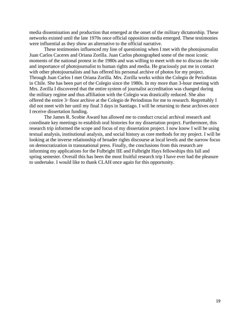media dissemination and production that emerged at the onset of the military dictatorship. These networks existed until the late 1970s once official opposition media emerged. These testimonies were influential as they show an alternative to the official narrative.

These testimonies influenced my line of questioning when I met with the photojournalist Juan Carlos Caceres and Oriana Zorilla. Juan Carlos photographed some of the most iconic moments of the national protest in the 1980s and was willing to meet with me to discuss the role and importance of photojournalist to human rights and media. He graciously put me in contact with other photojournalists and has offered his personal archive of photos for my project. Through Juan Carlos I met Oriana Zorilla. Mrs. Zorilla works within the Colegio de Periodistas in Chile. She has been part of the Colegio since the 1980s. In my more than 3-hour meeting with Mrs. Zorilla I discovered that the entire system of journalist accreditation was changed during the military regime and thus affiliation with the Colegio was drastically reduced. She also offered the entire 3<sup>rd</sup> floor archive at the Colegio de Periodistas for me to research. Regrettably I did not meet with her until my final 3 days in Santiago. I will be returning to these archives once I receive dissertation funding.

The James R. Scobie Award has allowed me to conduct crucial archival research and coordinate key meetings to establish oral histories for my dissertation project. Furthermore, this research trip informed the scope and focus of my dissertation project. I now know I will be using textual analysis, institutional analysis, and social history as core methods for my project. I will be looking at the inverse relationship of broader rights discourse at local levels and the narrow focus on democratization in transnational press. Finally, the conclusions from this research are informing my applications for the Fulbright IIE and Fulbright Hays fellowships this fall and spring semester. Overall this has been the most fruitful research trip I have ever had the pleasure to undertake. I would like to thank CLAH once again for this opportunity.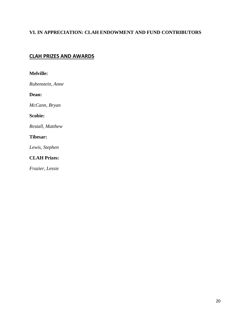# **VI. IN APPRECIATION: CLAH ENDOWMENT AND FUND CONTRIBUTORS**

# **CLAH PRIZES AND AWARDS**

| <b>Melville:</b>    |
|---------------------|
| Rubenstein, Anne    |
| Dean:               |
| McCann, Bryan       |
| Scobie:             |
| Restall, Matthew    |
| Tibesar:            |
| Lewis, Stephen      |
| <b>CLAH Prizes:</b> |

*Frazier, Lessie*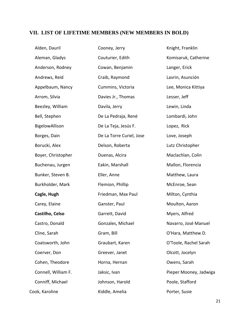# **VII. LIST OF LIFETIME MEMBERS (NEW MEMBERS IN BOLD)**

| Alden, Dauril       | Cooney, Jerry            | Knight, Franklin       |
|---------------------|--------------------------|------------------------|
| Aleman, Gladys      | Couturier, Edith         | Komisaruk, Catherine   |
| Anderson, Rodney    | Cowan, Benjamin          | Langer, Erick          |
| Andrews, Reid       | Craib, Raymond           | Lavrin, Asunción       |
| Appelbaum, Nancy    | Cummins, Victoria        | Lee, Monica Kittiya    |
| Arrom, Silvia       | Davies Jr., Thomas       | Lesser, Jeff           |
| Beezley, William    | Davila, Jerry            | Lewin, Linda           |
| Bell, Stephen       | De La Pedraja, René      | Lombardi, John         |
| BigelowAllison      | De La Teja, Jesús F.     | Lopez, Rick            |
| Borges, Dain        | De La Torre Curiel, Jose | Love, Joseph           |
| Borucki, Alex       | Delson, Roberta          | Lutz Christopher       |
| Boyer, Christopher  | Duenas, Alcira           | Maclachlan, Colin      |
| Buchenau, Jurgen    | Eakin, Marshall          | Mallon, Florencia      |
| Bunker, Steven B.   | Eller, Anne              | Matthew, Laura         |
| Burkholder, Mark    | Flemion, Phillip         | McEnroe, Sean          |
| Cagle, Hugh         | Friedman, Max Paul       | Milton, Cynthia        |
| Carey, Elaine       | Ganster, Paul            | Moulton, Aaron         |
| Castilho, Celso     | Garrett, David           | Myers, Alfred          |
| Castro, Donald      | Gonzales, Michael        | Navarro, José Manuel   |
| Cline, Sarah        | Gram, Bill               | O'Hara, Matthew D.     |
| Coatsworth, John    | Graubart, Karen          | O'Toole, Rachel Sarah  |
| Coerver, Don        | Greever, Janet           | Olcott, Jocelyn        |
| Cohen, Theodore     | Horna, Hernan            | Owens, Sarah           |
| Connell, William F. | Jaksic, Ivan             | Pieper Mooney, Jadwiga |
| Conniff, Michael    | Johnson, Harold          | Poole, Stafford        |
| Cook, Karoline      | Kiddle, Amelia           | Porter, Susie          |